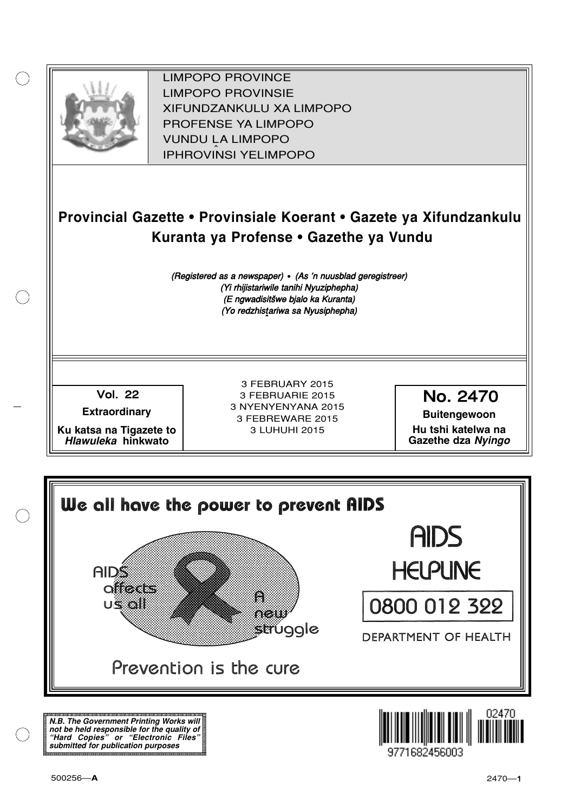

XIFUNDZANKULU XA LIMPOPO<br>PROFENCE XA LIMPORO PROFENSE YA LIMPOPO<br>WILDOLLA LIMPORO SOUTH A LIMPOPO<br>A LIPHROVINSI YELIMPOPO LIMPOPO PROVINCE LIMPOPO PROVINSIE IPHROVINSI YELIMPOPO

# **Provincial Gazette • Provinsiale Koerant • Gazete ya Xifundzankulu Kuranta ya Profense • Gazethe ya Vundu**

(Registered as a newspaper) • (As 'n nuusblad geregistreer) (Yi rhijistariwile tanihi Nyuziphepha) (E ngwadisitšwe bjalo ka Kuranta) (Yo redzhistariwa sa Nyusiphepha)

Vol.- 22

**Extraordinary**

**Ku katsa na Tigazete to Hlawuleka hinkwato**

3 FEBRUARY 2015 3 FEBRUARIE 2015 3 NYENYENYANA 2015 3 FEBREWARE 2015 3 LUHUHI 2015

No. 2470

**Buitengewoon Hu tshi katelwa na Gazethe dza Nyingo**



**N.B. The Government Printing Works will not be held responsible for the quality of "Hard Copies" or "Electronic Files" submitted for publication purposes**

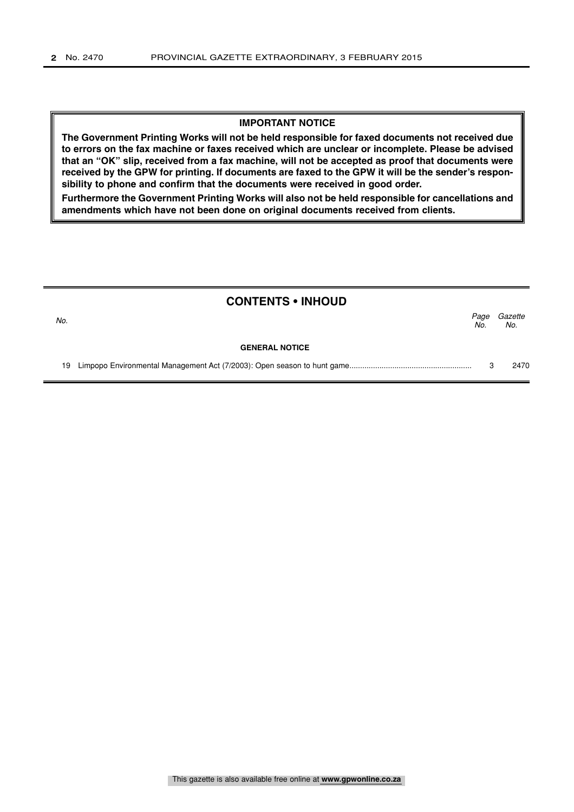#### **IMPORTANT NOTICE**

**The Government Printing Works will not be held responsible for faxed documents not received due to errors on the fax machine or faxes received which are unclear or incomplete. Please be advised that an "OK" slip, received from a fax machine, will not be accepted as proof that documents were received by the GPW for printing. If documents are faxed to the GPW it will be the sender's responsibility to phone and confirm that the documents were received in good order.**

**Furthermore the Government Printing Works will also not be held responsible for cancellations and amendments which have not been done on original documents received from clients.**

|     | <b>CONTENTS • INHOUD</b> |             |                |
|-----|--------------------------|-------------|----------------|
| No. |                          | Page<br>No. | Gazette<br>No. |
|     | <b>GENERAL NOTICE</b>    |             |                |
| 19  |                          |             | 2470           |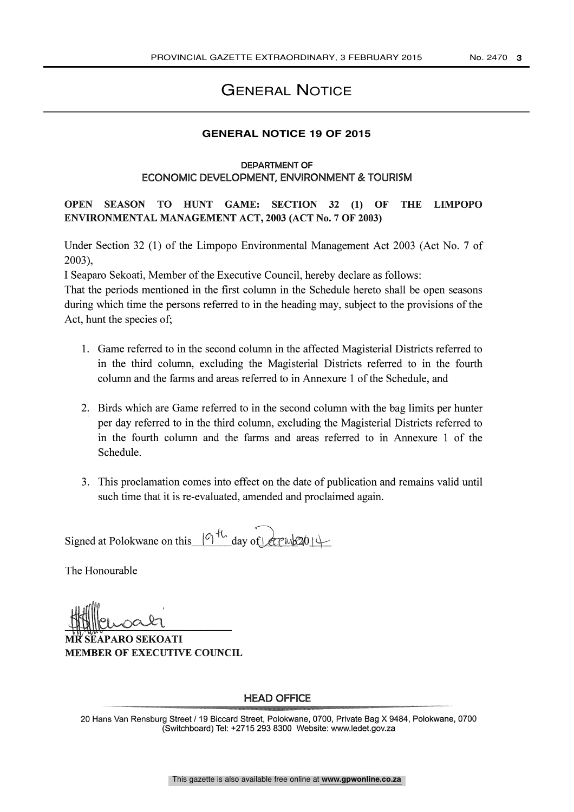## GENERAL NOTICE

## **GENERAL NOTICE 19 OF 2015**

#### DEPARTMENT OF ECONOMIC DEVELOPMENT, ENVIRONMENT & TOURISM

OPEN SEASON TO HUNT GAME: SECTION 32 (1) OF THE LIMPOPO ENVIRONMENTAL MANAGEMENT ACT, 2003 (ACT No. 7 OF 2003)

Under Section 32 (1) of the Limpopo Environmental Management Act 2003 (Act No. 7 of 2003),

I Seaparo Sekoati, Member of the Executive Council, hereby declare as follows:

That the periods mentioned in the first column in the Schedule hereto shall be open seasons during which time the persons referred to in the heading may, subject to the provisions of the Act, hunt the species of;

- 1. Game referred to in the second column in the affected Magisterial Districts referred to in the third column, excluding the Magisterial Districts referred to in the fourth column and the farms and areas referred to in Annexure 1 of the Schedule, and
- 2. Birds which are Game referred to in the second column with the bag limits per hunter per day referred to in the third column, excluding the Magisterial Districts referred to in the fourth column and the farms and areas referred to in Annexure 1 of the Schedule.
- 3. This proclamation comes into effect on the date of publication and remains valid until such time that it is re-evaluated, amended and proclaimed again.

Signed at Polokwane on this  $(9)^{\frac{1}{14}}$  day of  $(201)^{\frac{1}{14}}$ 

The Honourable

SEAPARO SEKOATI MEMBER OF EXECUTIVE COUNCIL

### HEAD OFFICE

20 Hans Van Rensburg Street / 19 Biccard Street, Polokwane, 0700, Private Bag X 9484, Polokwane, 0700 (Switchboard) Tel: +2715 293 8300 Website: www.ledet.gov.za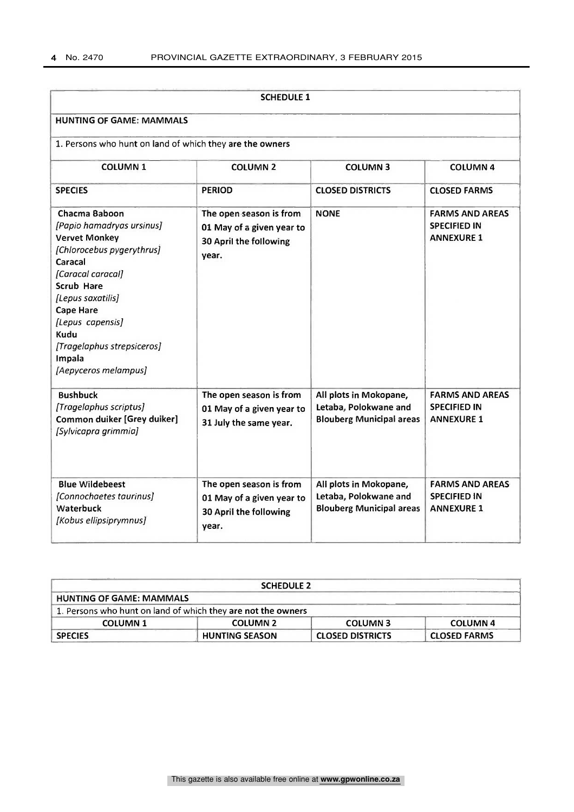|                                                                                                                                                                                                                                                                                           | <b>SCHEDULE 1</b>                                                                       |                                                                                    |                                                                    |  |  |
|-------------------------------------------------------------------------------------------------------------------------------------------------------------------------------------------------------------------------------------------------------------------------------------------|-----------------------------------------------------------------------------------------|------------------------------------------------------------------------------------|--------------------------------------------------------------------|--|--|
| <b>HUNTING OF GAME: MAMMALS</b>                                                                                                                                                                                                                                                           |                                                                                         |                                                                                    |                                                                    |  |  |
| 1. Persons who hunt on land of which they are the owners                                                                                                                                                                                                                                  |                                                                                         |                                                                                    |                                                                    |  |  |
| <b>COLUMN 1</b>                                                                                                                                                                                                                                                                           | <b>COLUMN 2</b>                                                                         | <b>COLUMN 3</b>                                                                    | <b>COLUMN 4</b>                                                    |  |  |
| <b>SPECIES</b>                                                                                                                                                                                                                                                                            | <b>PERIOD</b>                                                                           | <b>CLOSED DISTRICTS</b>                                                            | <b>CLOSED FARMS</b>                                                |  |  |
| Chacma Baboon<br>[Papio hamadryas ursinus]<br><b>Vervet Monkey</b><br>[Chlorocebus pygerythrus]<br>Caracal<br>[Caracal caracal]<br><b>Scrub Hare</b><br>[Lepus saxatilis]<br><b>Cape Hare</b><br>[Lepus capensis]<br>Kudu<br>[Tragelaphus strepsiceros]<br>Impala<br>[Aepyceros melampus] | The open season is from<br>01 May of a given year to<br>30 April the following<br>year. | <b>NONE</b>                                                                        | <b>FARMS AND AREAS</b><br><b>SPECIFIED IN</b><br><b>ANNEXURE 1</b> |  |  |
| <b>Bushbuck</b><br>[Tragelaphus scriptus]<br><b>Common duiker [Grey duiker]</b><br>[Sylvicapra grimmia]                                                                                                                                                                                   | The open season is from<br>01 May of a given year to<br>31 July the same year.          | All plots in Mokopane,<br>Letaba, Polokwane and<br><b>Blouberg Municipal areas</b> | <b>FARMS AND AREAS</b><br><b>SPECIFIED IN</b><br><b>ANNEXURE 1</b> |  |  |
| <b>Blue Wildebeest</b><br>[Connochaetes taurinus]<br><b>Waterbuck</b><br>[Kobus ellipsiprymnus]                                                                                                                                                                                           | The open season is from<br>01 May of a given year to<br>30 April the following<br>year. | All plots in Mokopane,<br>Letaba, Polokwane and<br><b>Blouberg Municipal areas</b> | <b>FARMS AND AREAS</b><br><b>SPECIFIED IN</b><br><b>ANNEXURE 1</b> |  |  |

|                                 | <b>SCHEDULE 2</b>                                            |                         |                     |
|---------------------------------|--------------------------------------------------------------|-------------------------|---------------------|
| <b>HUNTING OF GAME: MAMMALS</b> |                                                              |                         |                     |
|                                 | 1. Persons who hunt on land of which they are not the owners |                         |                     |
| <b>COLUMN 1</b>                 | <b>COLUMN 2</b>                                              | <b>COLUMN3</b>          | <b>COLUMN 4</b>     |
| <b>SPECIES</b>                  | <b>HUNTING SEASON</b>                                        | <b>CLOSED DISTRICTS</b> | <b>CLOSED FARMS</b> |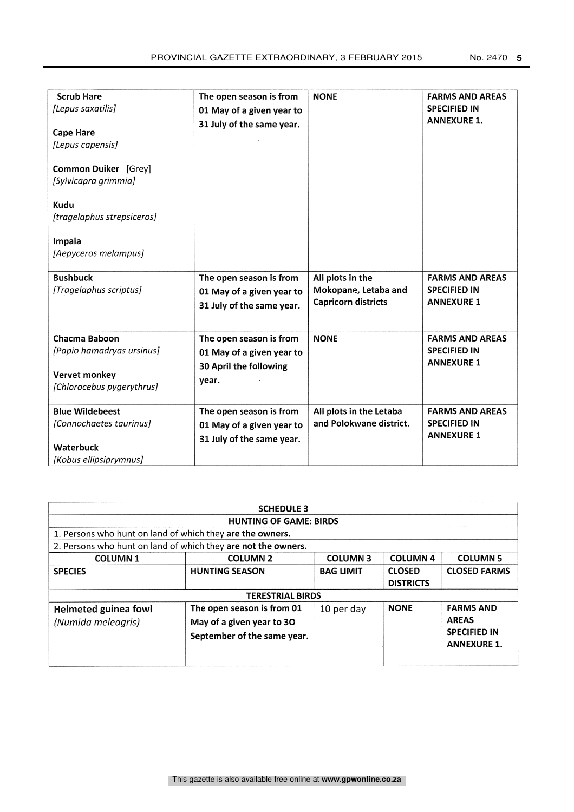| <b>Scrub Hare</b><br>[Lepus saxatilis]<br><b>Cape Hare</b><br>[Lepus capensis]<br>Common Duiker [Grey]<br>[Sylvicapra grimmia]<br>Kudu<br>[tragelaphus strepsiceros]<br>Impala<br>[Aepyceros melampus] | The open season is from<br>01 May of a given year to<br>31 July of the same year.       | <b>NONE</b>                                                            | <b>FARMS AND AREAS</b><br><b>SPECIFIED IN</b><br><b>ANNEXURE 1.</b> |
|--------------------------------------------------------------------------------------------------------------------------------------------------------------------------------------------------------|-----------------------------------------------------------------------------------------|------------------------------------------------------------------------|---------------------------------------------------------------------|
| <b>Bushbuck</b><br>[Tragelaphus scriptus]                                                                                                                                                              | The open season is from<br>01 May of a given year to<br>31 July of the same year.       | All plots in the<br>Mokopane, Letaba and<br><b>Capricorn districts</b> | <b>FARMS AND AREAS</b><br><b>SPECIFIED IN</b><br><b>ANNEXURE 1</b>  |
| Chacma Baboon<br>[Papio hamadryas ursinus]<br>Vervet monkey<br>[Chlorocebus pygerythrus]                                                                                                               | The open season is from<br>01 May of a given year to<br>30 April the following<br>year. | <b>NONE</b>                                                            | <b>FARMS AND AREAS</b><br><b>SPECIFIED IN</b><br><b>ANNEXURE 1</b>  |
| <b>Blue Wildebeest</b><br>[Connochaetes taurinus]<br><b>Waterbuck</b><br>[Kobus ellipsiprymnus]                                                                                                        | The open season is from<br>01 May of a given year to<br>31 July of the same year.       | All plots in the Letaba<br>and Polokwane district.                     | <b>FARMS AND AREAS</b><br><b>SPECIFIED IN</b><br><b>ANNEXURE 1</b>  |

| <b>SCHEDULE 3</b>                                             |                                                                                        |                  |                                   |                                                                               |  |  |
|---------------------------------------------------------------|----------------------------------------------------------------------------------------|------------------|-----------------------------------|-------------------------------------------------------------------------------|--|--|
| <b>HUNTING OF GAME: BIRDS</b>                                 |                                                                                        |                  |                                   |                                                                               |  |  |
| 1. Persons who hunt on land of which they are the owners.     |                                                                                        |                  |                                   |                                                                               |  |  |
| 2. Persons who hunt on land of which they are not the owners. |                                                                                        |                  |                                   |                                                                               |  |  |
| <b>COLUMN1</b>                                                | <b>COLUMN 2</b>                                                                        | <b>COLUMN3</b>   | <b>COLUMN 4</b>                   | <b>COLUMN 5</b>                                                               |  |  |
| <b>SPECIES</b>                                                | <b>HUNTING SEASON</b>                                                                  | <b>BAG LIMIT</b> | <b>CLOSED</b><br><b>DISTRICTS</b> | <b>CLOSED FARMS</b>                                                           |  |  |
| <b>TERESTRIAL BIRDS</b>                                       |                                                                                        |                  |                                   |                                                                               |  |  |
| <b>Helmeted guinea fowl</b><br>(Numida meleagris)             | The open season is from 01<br>May of a given year to 30<br>September of the same year. | 10 per day       | <b>NONE</b>                       | <b>FARMS AND</b><br><b>AREAS</b><br><b>SPECIFIED IN</b><br><b>ANNEXURE 1.</b> |  |  |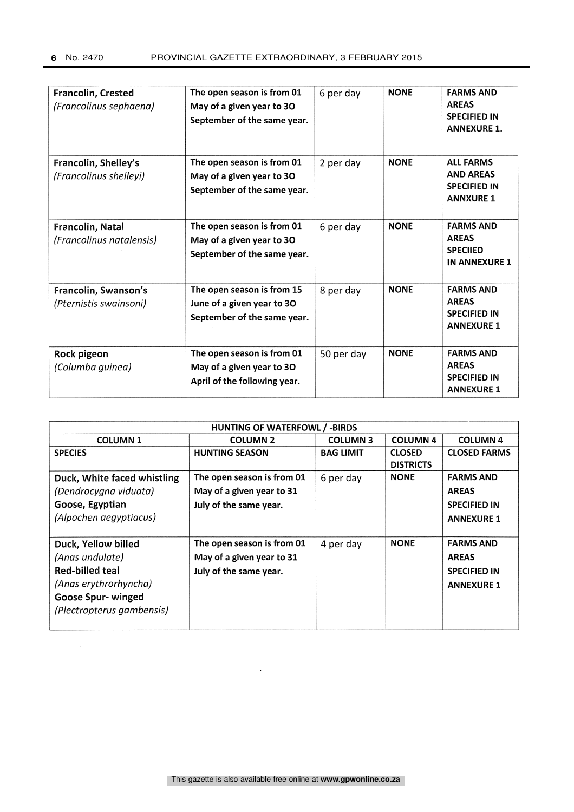| Francolin, Crested<br>(Francolinus sephaena)   | The open season is from 01<br>May of a given year to 30<br>September of the same year.  | 6 per day  | <b>NONE</b> | <b>FARMS AND</b><br><b>AREAS</b><br><b>SPECIFIED IN</b><br><b>ANNEXURE 1.</b>   |
|------------------------------------------------|-----------------------------------------------------------------------------------------|------------|-------------|---------------------------------------------------------------------------------|
| Francolin, Shelley's<br>(Francolinus shelleyi) | The open season is from 01<br>May of a given year to 30<br>September of the same year.  | 2 per day  | <b>NONE</b> | <b>ALL FARMS</b><br><b>AND AREAS</b><br><b>SPECIFIED IN</b><br><b>ANNXURE 1</b> |
| Francolin, Natal<br>(Francolinus natalensis)   | The open season is from 01<br>May of a given year to 30<br>September of the same year.  | 6 per day  | <b>NONE</b> | <b>FARMS AND</b><br><b>AREAS</b><br><b>SPECILED</b><br><b>IN ANNEXURE 1</b>     |
| Francolin, Swanson's<br>(Pternistis swainsoni) | The open season is from 15<br>June of a given year to 30<br>September of the same year. | 8 per day  | <b>NONE</b> | <b>FARMS AND</b><br><b>AREAS</b><br><b>SPECIFIED IN</b><br><b>ANNEXURE 1</b>    |
| Rock pigeon<br>(Columba guinea)                | The open season is from 01<br>May of a given year to 30<br>April of the following year. | 50 per day | <b>NONE</b> | <b>FARMS AND</b><br><b>AREAS</b><br><b>SPECIFIED IN</b><br><b>ANNEXURE 1</b>    |

| <b>HUNTING OF WATERFOWL / -BIRDS</b>                                                      |                            |                  |                                   |                     |  |  |  |
|-------------------------------------------------------------------------------------------|----------------------------|------------------|-----------------------------------|---------------------|--|--|--|
| <b>COLUMN 4</b><br><b>COLUMN3</b><br><b>COLUMN 4</b><br><b>COLUMN1</b><br><b>COLUMN 2</b> |                            |                  |                                   |                     |  |  |  |
| <b>SPECIES</b>                                                                            | <b>HUNTING SEASON</b>      | <b>BAG LIMIT</b> | <b>CLOSED</b><br><b>DISTRICTS</b> | <b>CLOSED FARMS</b> |  |  |  |
| Duck, White faced whistling                                                               | The open season is from 01 | 6 per day        | <b>NONE</b>                       | <b>FARMS AND</b>    |  |  |  |
| (Dendrocygna viduata)                                                                     | May of a given year to 31  |                  |                                   | <b>AREAS</b>        |  |  |  |
| Goose, Egyptian                                                                           | July of the same year.     |                  |                                   | <b>SPECIFIED IN</b> |  |  |  |
| (Alpochen aegyptiacus)                                                                    |                            |                  |                                   | <b>ANNEXURE 1</b>   |  |  |  |
| Duck, Yellow billed                                                                       | The open season is from 01 | 4 per day        | <b>NONE</b>                       | <b>FARMS AND</b>    |  |  |  |
| (Anas undulate)                                                                           | May of a given year to 31  |                  |                                   | <b>AREAS</b>        |  |  |  |
| Red-billed teal                                                                           | July of the same year.     |                  |                                   | <b>SPECIFIED IN</b> |  |  |  |
| (Anas erythrorhyncha)                                                                     |                            |                  |                                   | <b>ANNEXURE 1</b>   |  |  |  |
| <b>Goose Spur- winged</b>                                                                 |                            |                  |                                   |                     |  |  |  |
| (Plectropterus gambensis)                                                                 |                            |                  |                                   |                     |  |  |  |
|                                                                                           |                            |                  |                                   |                     |  |  |  |

 $\mathcal{L}^{\mathcal{L}}$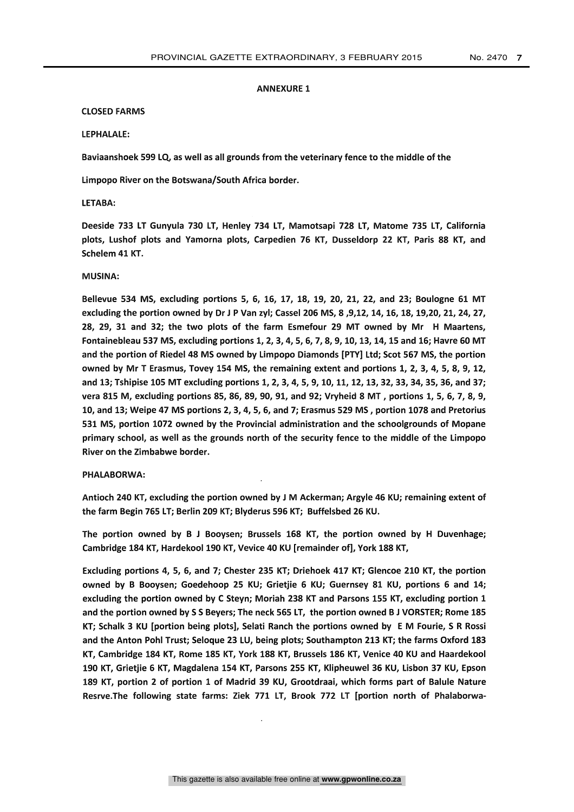#### ANNEXURE 1

#### CLOSED FARMS

#### LEPHALALE:

Baviaanshoek 599 LQ, as well as all grounds from the veterinary fence to the middle of the

Limpopo River on the Botswana/South Africa border.

#### LETABA:

Deeside 733 LT Gunyula 730 LT, Henley 734 LT, Mamotsapi 728 LT, Matome 735 LT, California plots, Lushof plots and Yamorna plots, Carpedien 76 KT, Dusseldorp 22 KT, Paris 88 KT, and Schelem 41 KT.

#### MUSINA:

Bellevue 534 MS, excluding portions 5, 6, 16, 17, 18, 19, 20, 21, 22, and 23; Boulogne 61 MT excluding the portion owned by Dr J P Van zyl; Cassel 206 MS, 8 ,9,12, 14, 16, 18, 19,20, 21, 24, 27, 28, 29, 31 and 32; the two plots of the farm Esmefour 29 MT owned by Mr H Maartens, Fontainebleau 537 MS, excluding portions 1, 2, 3, 4, 5, 6, 7, 8, 9, 10, 13, 14, 15 and 16; Havre 60 MT and the portion of Riedel 48 MS owned by Limpopo Diamonds [PTY] Ltd; Scot 567 MS, the portion owned by Mr T Erasmus, Tovey 154 MS, the remaining extent and portions 1, 2, 3, 4, 5, 8, 9, 12, and 13; Tshipise 105 MT excluding portions 1, 2, 3, 4, 5, 9, 10, 11, 12, 13, 32, 33, 34, 35, 36, and 37; vera 815 M, excluding portions 85, 86, 89, 90, 91, and 92; Vryheid 8 MT , portions 1, 5, 6, 7, 8, 9, 10, and 13; Weipe 47 MS portions 2, 3, 4, 5, 6, and 7; Erasmus 529 MS, portion 1078 and Pretorius 531 MS, portion 1072 owned by the Provincial administration and the schoolgrounds of Mopane primary school, as well as the grounds north of the security fence to the middle of the Limpopo River on the Zimbabwe border.

#### PHALABORWA:

Antioch 240 KT, excluding the portion owned by J M Ackerman; Argyle 46 KU; remaining extent of the farm Begin 765 LT; Berlin 209 KT; Blyderus 596 KT; Buffelsbed 26 KU.

The portion owned by B J Booysen; Brussels 168 KT, the portion owned by H Duvenhage; Cambridge 184 KT, Hardekool 190 KT, Vevice 40 KU [remainder of], York 188 KT,

Excluding portions 4, 5, 6, and 7; Chester 235 KT; Driehoek 417 KT; Glencoe 210 KT, the portion owned by B Booysen; Goedehoop 25 KU; Grietjie 6 KU; Guernsey 81 KU, portions 6 and 14; excluding the portion owned by C Steyn; Moriah 238 KT and Parsons 155 KT, excluding portion 1 and the portion owned by S S Beyers; The neck 565 LT, the portion owned B J VORSTER; Rome 185 KT; Schalk 3 KU [portion being plots], Selati Ranch the portions owned by E M Fourie, S R Rossi and the Anton Pohl Trust; Seloque 23 LU, being plots; Southampton 213 KT; the farms Oxford 183 KT, Cambridge 184 KT, Rome 185 KT, York 188 KT, Brussels 186 KT, Venice 40 KU and Haardekool 190 KT, Grietjie 6 KT, Magdalena 154 KT, Parsons 255 KT, Klipheuwel 36 KU, Lisbon 37 KU, Epson 189 KT, portion 2 of portion 1 of Madrid 39 KU, Grootdraai, which forms part of Balule Nature Resrve.The following state farms: Ziek 771 LT, Brook 772 LT [portion north of Phalaborwa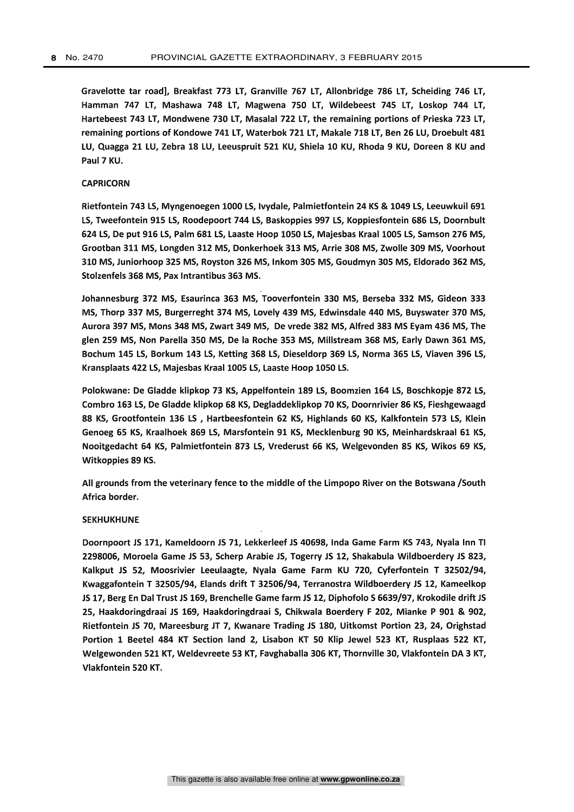Gravelotte tar road], Breakfast 773 LT, Granville 767 LT, Allonbridge 786 LT, Scheiding 746 LT, Hamman 747 LT, Mashawa 748 LT, Magwena 750 LT, Wildebeest 745 LT, Loskop 744 LT, Hartebeest 743 LT, Mondwene 730 LT, Masalal 722 LT, the remaining portions of Prieska 723 LT, remaining portions of Kondowe 741 LT, Waterbok 721 LT, Makale 718 LT, Ben 26 LU, Droebult 481 LU, Quagga 21 LU, Zebra 18 LU, Leeuspruit 521 KU, Shiela 10 KU, Rhoda 9 KU, Doreen 8 KU and Paul 7 KU.

#### CAPRICORN

Rietfontein 743 LS, Myngenoegen 1000 LS, Ivydale, Palmietfontein 24 KS & 1049 LS, Leeuwkuil 691 LS, Tweefontein 915 LS, Roodepoort 744 LS, Baskoppies 997 LS, Koppiesfontein 686 LS, Doornbult 624 LS, De put 916 LS, Palm 681 LS, Laaste Hoop 1050 LS, Majesbas Kraal 1005 LS, Samson 276 MS, Grootban 311 MS, Longden 312 MS, Donkerhoek 313 MS, Arrie 308 MS, Zwolle 309 MS, Voorhout 310 MS, Juniorhoop 325 MS, Royston 326 MS, Inkom 305 MS, Goudmyn 305 MS, Eldorado 362 MS, Stolzenfels 368 MS, Pax Intrantibus 363 MS.

Johannesburg 372 MS, Esaurinca 363 MS, Tooverfontein 330 MS, Berseba 332 MS, Gideon 333 MS, Thorp 337 MS, Burgerreght 374 MS, Lovely 439 MS, Edwinsdale 440 MS, Buyswater 370 MS, Aurora 397 MS, Mons 348 MS, Zwart 349 MS, De vrede 382 MS, Alfred 383 MS Eyam 436 MS, The glen 259 MS, Non Parella 350 MS, De la Roche 353 MS, Millstream 368 MS, Early Dawn 361 MS, Bochum 145 LS, Borkum 143 LS, Ketting 368 LS, Dieseldorp 369 LS, Norma 365 LS, Viaven 396 LS, Kransplaats 422 LS, Majesbas Kraal 1005 LS, Laaste Hoop 1050 LS.

Polokwane: De Gladde klipkop 73 KS, Appelfontein 189 LS, Boomzien 164 LS, Boschkopje 872 LS, Combro 163 LS, De Gladde klipkop 68 KS, Degladdeklipkop 70 KS, Doornrivier 86 KS, Fieshgewaagd 88 KS, Grootfontein 136 LS , Hartbeesfontein 62 KS, Highlands 60 KS, Kalkfontein 573 LS, Klein Genoeg 65 KS, Kraalhoek 869 LS, Marsfontein 91 KS, Mecklenburg 90 KS, Meinhardskraal 61 KS, Nooitgedacht 64 KS, Palmietfontein 873 LS, Vrederust 66 KS, Welgevonden 85 KS, Wikos 69 KS, Witkoppies 89 KS.

All grounds from the veterinary fence to the middle of the Limpopo River on the Botswana /South Africa border.

#### SEKHUKHUNE

Doornpoort JS 171, Kameldoorn JS 71, Lekkerleef JS 40698, lnda Game Farm KS 743, Nyala Inn TI 2298006, Moroela Game JS 53, Scherp Arabie JS, Togerry JS 12, Shakabula Wildboerdery JS 823, Kalkput JS 52, Moosrivier Leeulaagte, Nyala Game Farm KU 720, Cyferfontein T 32502/94, Kwaggafontein T 32505/94, Elands drift T 32506/94, Terranostra Wildboerdery JS 12, Kameelkop JS 17, Berg En Dal Trust JS 169, Brenchelle Game farm J512, Diphofolo 5 6639/97, Krokodile drift JS 25, Haakdoringdraai JS 169, Haakdoringdraai 5, Chikwala Boerdery F 202, Mianke P 901 & 902, Rietfontein JS 70, Mareesburg JT 7, Kwanare Trading JS 180, Uitkomst Portion 23, 24, Orighstad Portion 1 Beetel 484 KT Section land 2, Lisabon KT 50 Klip Jewel 523 KT, Rusplaas 522 KT, Welgewonden 521 KT, Weldevreete 53 KT, Favghaballa 306 KT, Thornville 30, Vlakfontein DA 3 KT, Vlakfontein 520 KT.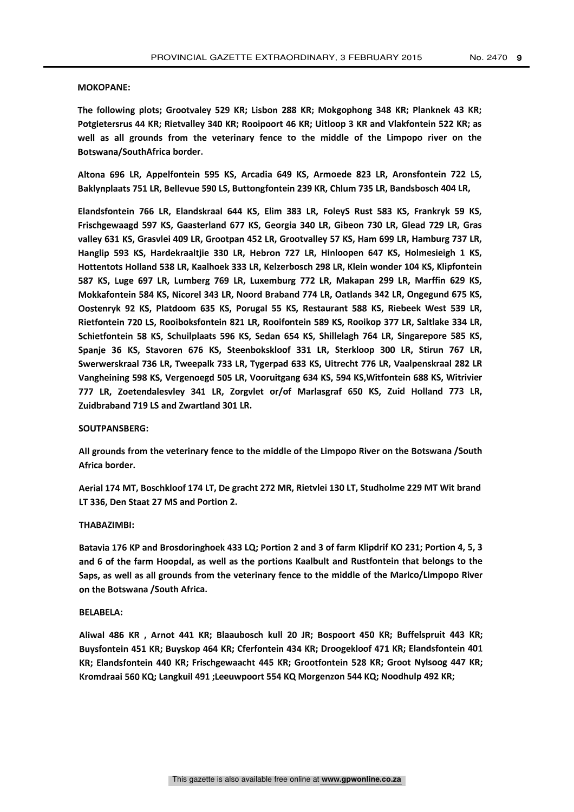#### MOKOPANE:

The following plots; Grootvaley 529 KR; Lisbon 288 KR; Mokgophong 348 KR; Planknek 43 KR; Potgietersrus 44 KR; Rietvalley 340 KR; Rooipoort 46 KR; Uitloop 3 KR and Vlakfontein 522 KR; as well as all grounds from the veterinary fence to the middle of the Limpopo river on the Botswana/SouthAfrica border.

Altona 696 LR, Appelfontein 595 KS, Arcadia 649 KS, Armoede 823 LR, Aronsfontein 722 LS, Baklynplaats 751 LR, Bellevue 590 LS, Buttongfontein 239 KR, Chlum 735 LR, Bandsbosch 404 LR,

Elandsfontein 766 LR, Elandskraal 644 KS, Elim 383 LR, FoleyS Rust 583 KS, Frankryk 59 KS, Frischgewaagd 597 KS, Gaasterland 677 KS, Georgia 340 LR, Gibeon 730 LR, Glead 729 LR, Gras valley 631 KS, Grasvlei 409 LR, Grootpan 452 LR, Grootvalley 57 KS, Ham 699 LR, Hamburg 737 LR, Hanglip 593 KS, Hardekraaltjie 330 LR, Hebron 727 LR, Hinloopen 647 KS, Holmesieigh 1 KS, Hottentots Holland 538 LR, Kaalhoek 333 LR, Kelzerbosch 298 LR, Klein wonder 104 KS, Klipfontein 587 KS, Luge 697 LR, Lumberg 769 LR, Luxemburg 772 LR, Makapan 299 LR, Marffin 629 KS, Mokkafontein 584 KS, Nicorel 343 LR, Noord Braband 774 LR, Oatlands 342 LR, Ongegund 675 KS, Oostenryk 92 KS, Platdoom 635 KS, Porugal 55 KS, Restaurant 588 KS, Riebeek West 539 LR, Rietfontein 720 LS, Rooiboksfontein 821 LR, Rooifontein 589 KS, Rooikop 377 LR, Saltlake 334 LR, Schietfontein 58 KS, Schuilplaats 596 KS, Sedan 654 KS, Shillelagh 764 LR, Singarepore 585 KS, Spanje 36 KS, Stavoren 676 KS, Steenbokskloof 331 LR, Sterkloop 300 LR, Stirun 767 LR, Swerwerskraal 736 LR, Tweepalk 733 LR, Tygerpad 633 KS, Uitrecht 776 LR, Vaalpenskraal 282 LR Vangheining 598 KS, Vergenoegd 505 LR, Vooruitgang 634 KS, 594 KS,Witfontein 688 KS, Witrivier 777 LR, Zoetendalesvley 341 LR, Zorgvlet or/of Marlasgraf 650 KS, Zuid Holland 773 LR, Zuidbraband 719 LS and Zwartland 301 LR.

#### SOUTPANSBERG:

All grounds from the veterinary fence to the middle of the Limpopo River on the Botswana /South Africa border.

Aerial 174 MT, Boschkloof 174 LT, De gracht 272 MR, Rietvlei 130 LT, Studholme 229 MT Wit brand LT 336, Den Staat 27 MS and Portion 2.

#### THABAZIMBI:

Batavia 176 KP and Brosdoringhoek 433 LQ; Portion 2 and 3 of farm Klipdrif KO 231; Portion 4, 5, 3 and 6 of the farm Hoopdal, as well as the portions Kaalbult and Rustfontein that belongs to the Saps, as well as all grounds from the veterinary fence to the middle of the Marico/Limpopo River on the Botswana /South Africa.

#### BELABELA:

Aliwal 486 KR , Arnot 441 KR; Blaaubosch kull 20 JR; Bospoort 450 KR; Buffelspruit 443 KR; Buysfontein 451 KR; Buyskop 464 KR; Cferfontein 434 KR; Droogekloof 471 KR; Elandsfontein 401 KR; Elandsfontein 440 KR; Frischgewaacht 445 KR; Grootfontein 528 KR; Groot Nylsoog 447 KR; Kromdraai 560 KQ; Langkuil 491 ;Leeuwpoort 554 KQ Morgenzon 544 KQ; Noodhulp 492 KR;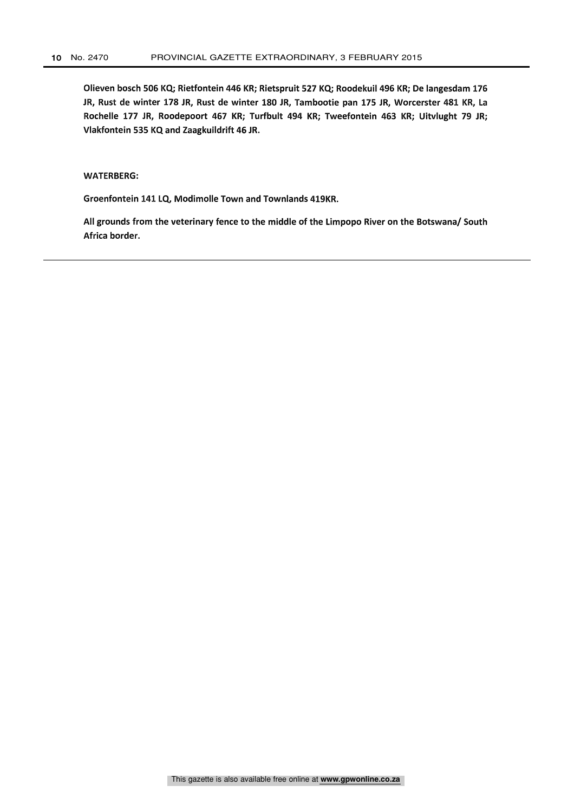Olieven bosch 506 KQ; Rietfontein 446 KR; Rietspruit 527 KQ; Roodekuil 496 KR; De langesdam 176 JR, Rust de winter 178 JR, Rust de winter 180 JR, Tambootie pan 175 JR, Worcerster 481 KR, La Rochelle 177 JR, Roodepoort 467 KR; Turfbult 494 KR; Tweefontein 463 KR; Uitvlught 79 JR; Vlakfontein 535 KQ and Zaagkuildrift 46 JR.

#### WATERBERG:

Groenfontein 141 LQ, Modimolle Town and Townlands 419KR.

All grounds from the veterinary fence to the middle of the Limpopo River on the Botswana/ South Africa border.